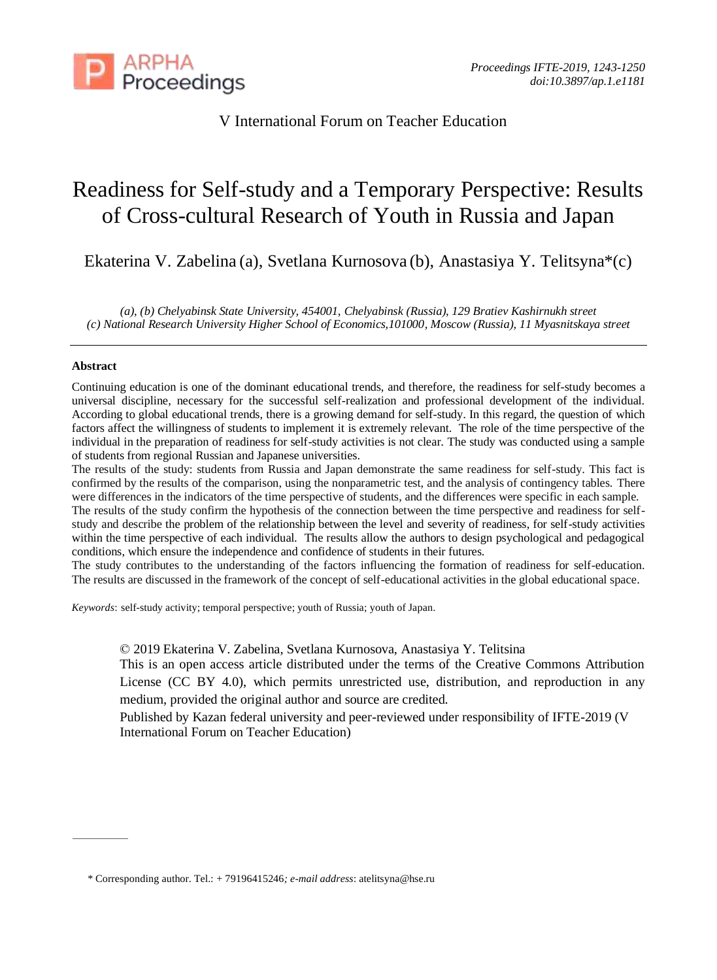

# V International Forum on Teacher Education

# Readiness for Self-study and a Temporary Perspective: Results of Cross-cultural Research of Youth in Russia and Japan

Ekaterina V. Zabelina (a), Svetlana Kurnosova (b), Anastasiya Y. Telitsyna\*(c)

*(a), (b) Chelyabinsk State University, 454001, Chelyabinsk (Russia), 129 Bratiev Kashirnukh street (c) National Research University Higher School of Economics,101000, Moscow (Russia), 11 Myasnitskaya street*

### **Abstract**

Continuing education is one of the dominant educational trends, and therefore, the readiness for self-study becomes a universal discipline, necessary for the successful self-realization and professional development of the individual. According to global educational trends, there is a growing demand for self-study. In this regard, the question of which factors affect the willingness of students to implement it is extremely relevant. The role of the time perspective of the individual in the preparation of readiness for self-study activities is not clear. The study was conducted using a sample of students from regional Russian and Japanese universities.

The results of the study: students from Russia and Japan demonstrate the same readiness for self-study. This fact is confirmed by the results of the comparison, using the nonparametric test, and the analysis of contingency tables. There were differences in the indicators of the time perspective of students, and the differences were specific in each sample. The results of the study confirm the hypothesis of the connection between the time perspective and readiness for selfstudy and describe the problem of the relationship between the level and severity of readiness, for self-study activities within the time perspective of each individual. The results allow the authors to design psychological and pedagogical conditions, which ensure the independence and confidence of students in their futures.

The study contributes to the understanding of the factors influencing the formation of readiness for self-education. The results are discussed in the framework of the concept of self-educational activities in the global educational space.

*Keywords*: self-study activity; temporal perspective; youth of Russia; youth of Japan.

© 2019 Ekaterina V. Zabelina, Svetlana Kurnosova, Anastasiya Y. Telitsina

This is an open access article distributed under the terms of the Creative Commons Attribution License (CC BY 4.0), which permits unrestricted use, distribution, and reproduction in any medium, provided the original author and source are credited.

Published by Kazan federal university and peer-reviewed under responsibility of IFTE-2019 (V International Forum on Teacher Education)

<sup>\*</sup> Corresponding author. Tel.: + 79196415246*; e-mail address*: [atelitsyna@hse.ru](mailto:atelitsyna@hse.ru)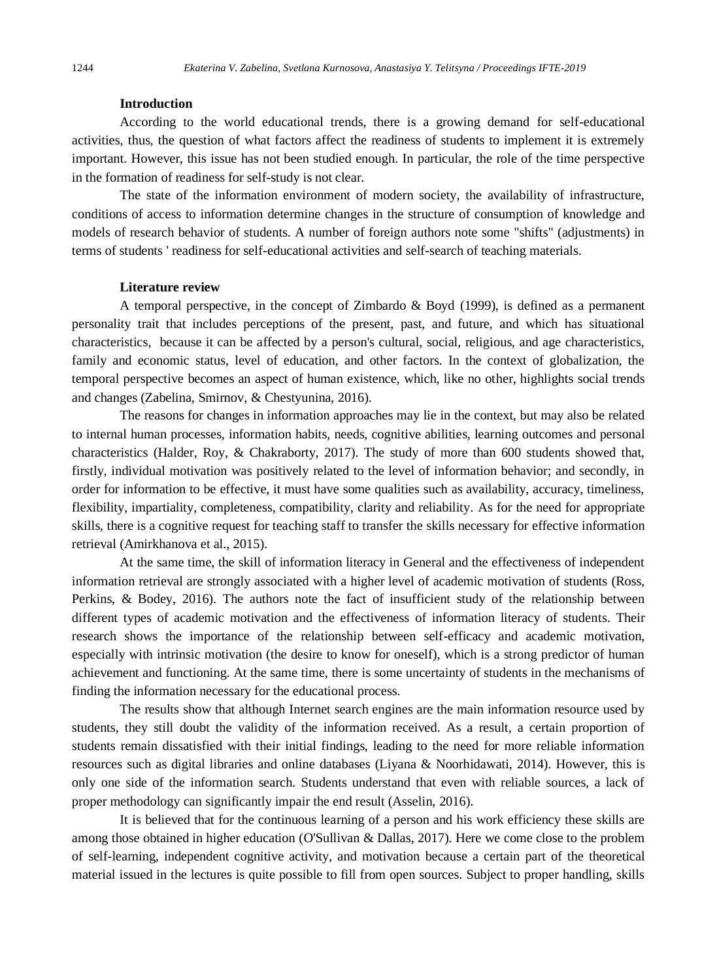#### **Introduction**

According to the world educational trends, there is a growing demand for self-educational activities, thus, the question of what factors affect the readiness of students to implement it is extremely important. However, this issue has not been studied enough. In particular, the role of the time perspective in the formation of readiness for self-study is not clear.

The state of the information environment of modern society, the availability of infrastructure, conditions of access to information determine changes in the structure of consumption of knowledge and models of research behavior of students. A number of foreign authors note some "shifts" (adjustments) in terms of students ' readiness for self-educational activities and self-search of teaching materials.

#### **Literature review**

A temporal perspective, in the concept of Zimbardo & Boyd (1999), is defined as a permanent personality trait that includes perceptions of the present, past, and future, and which has situational characteristics, because it can be affected by a person's cultural, social, religious, and age characteristics, family and economic status, level of education, and other factors. In the context of globalization, the temporal perspective becomes an aspect of human existence, which, like no other, highlights social trends and changes (Zabelina, Smirnov, & Chestyunina, 2016).

The reasons for changes in information approaches may lie in the context, but may also be related to internal human processes, information habits, needs, cognitive abilities, learning outcomes and personal characteristics (Halder, Roy, & Chakraborty, 2017). The study of more than 600 students showed that, firstly, individual motivation was positively related to the level of information behavior; and secondly, in order for information to be effective, it must have some qualities such as availability, accuracy, timeliness, flexibility, impartiality, completeness, compatibility, clarity and reliability. As for the need for appropriate skills, there is a cognitive request for teaching staff to transfer the skills necessary for effective information retrieval (Amirkhanova et al., 2015).

At the same time, the skill of information literacy in General and the effectiveness of independent information retrieval are strongly associated with a higher level of academic motivation of students (Ross, Perkins, & Bodey, 2016). The authors note the fact of insufficient study of the relationship between different types of academic motivation and the effectiveness of information literacy of students. Their research shows the importance of the relationship between self-efficacy and academic motivation, especially with intrinsic motivation (the desire to know for oneself), which is a strong predictor of human achievement and functioning. At the same time, there is some uncertainty of students in the mechanisms of finding the information necessary for the educational process.

The results show that although Internet search engines are the main information resource used by students, they still doubt the validity of the information received. As a result, a certain proportion of students remain dissatisfied with their initial findings, leading to the need for more reliable information resources such as digital libraries and online databases (Liyana & Noorhidawati, 2014). However, this is only one side of the information search. Students understand that even with reliable sources, a lack of proper methodology can significantly impair the end result (Asselin, 2016).

It is believed that for the continuous learning of a person and his work efficiency these skills are among those obtained in higher education (O'Sullivan & Dallas, 2017). Here we come close to the problem of self-learning, independent cognitive activity, and motivation because a certain part of the theoretical material issued in the lectures is quite possible to fill from open sources. Subject to proper handling, skills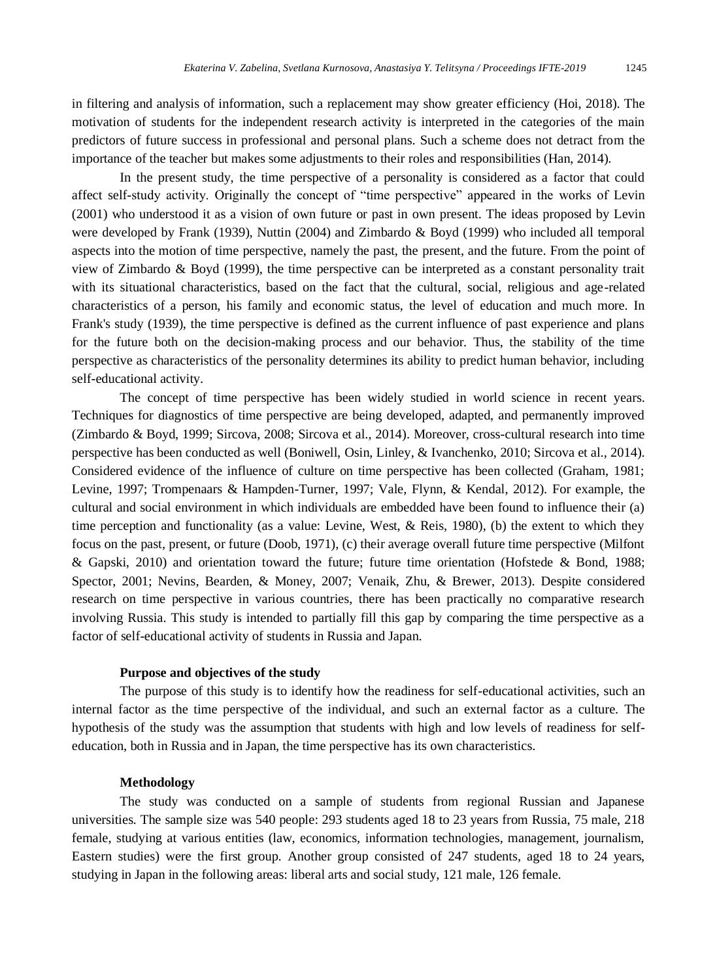in filtering and analysis of information, such a replacement may show greater efficiency (Hoi, 2018). The motivation of students for the independent research activity is interpreted in the categories of the main predictors of future success in professional and personal plans. Such a scheme does not detract from the importance of the teacher but makes some adjustments to their roles and responsibilities (Han, 2014).

In the present study, the time perspective of a personality is considered as a factor that could affect self-study activity. Originally the concept of "time perspective" appeared in the works of Levin (2001) who understood it as a vision of own future or past in own present. The ideas proposed by Levin were developed by Frank (1939), Nuttin (2004) and Zimbardo & Boyd (1999) who included all temporal aspects into the motion of time perspective, namely the past, the present, and the future. From the point of view of Zimbardo & Boyd (1999), the time perspective can be interpreted as a constant personality trait with its situational characteristics, based on the fact that the cultural, social, religious and age-related characteristics of a person, his family and economic status, the level of education and much more. In Frank's study (1939), the time perspective is defined as the current influence of past experience and plans for the future both on the decision-making process and our behavior. Thus, the stability of the time perspective as characteristics of the personality determines its ability to predict human behavior, including self-educational activity.

The concept of time perspective has been widely studied in world science in recent years. Techniques for diagnostics of time perspective are being developed, adapted, and permanently improved (Zimbardo & Boyd, 1999; Sircova, 2008; Sircova et al., 2014). Moreover, cross-cultural research into time perspective has been conducted as well (Boniwell, Osin, Linley, & Ivanchenko, 2010; Sircova et al., 2014). Considered evidence of the influence of culture on time perspective has been collected (Graham, 1981; Levine, 1997; Trompenaars & Hampden-Turner, 1997; Vale, Flynn, & Kendal, 2012). For example, the cultural and social environment in which individuals are embedded have been found to influence their (a) time perception and functionality (as a value: Levine, West, & Reis, 1980), (b) the extent to which they focus on the past, present, or future (Doob, 1971), (c) their average overall future time perspective (Milfont & Gapski, 2010) and orientation toward the future; future time orientation (Hofstede & Bond, 1988; Spector, 2001; Nevins, Bearden, & Money, 2007; Venaik, Zhu, & Brewer, 2013). Despite considered research on time perspective in various countries, there has been practically no comparative research involving Russia. This study is intended to partially fill this gap by comparing the time perspective as a factor of self-educational activity of students in Russia and Japan.

#### **Purpose and objectives of the study**

The purpose of this study is to identify how the readiness for self-educational activities, such an internal factor as the time perspective of the individual, and such an external factor as a culture. The hypothesis of the study was the assumption that students with high and low levels of readiness for selfeducation, both in Russia and in Japan, the time perspective has its own characteristics.

### **Methodology**

The study was conducted on a sample of students from regional Russian and Japanese universities. The sample size was 540 people: 293 students aged 18 to 23 years from Russia, 75 male, 218 female, studying at various entities (law, economics, information technologies, management, journalism, Eastern studies) were the first group. Another group consisted of 247 students, aged 18 to 24 years, studying in Japan in the following areas: liberal arts and social study, 121 male, 126 female.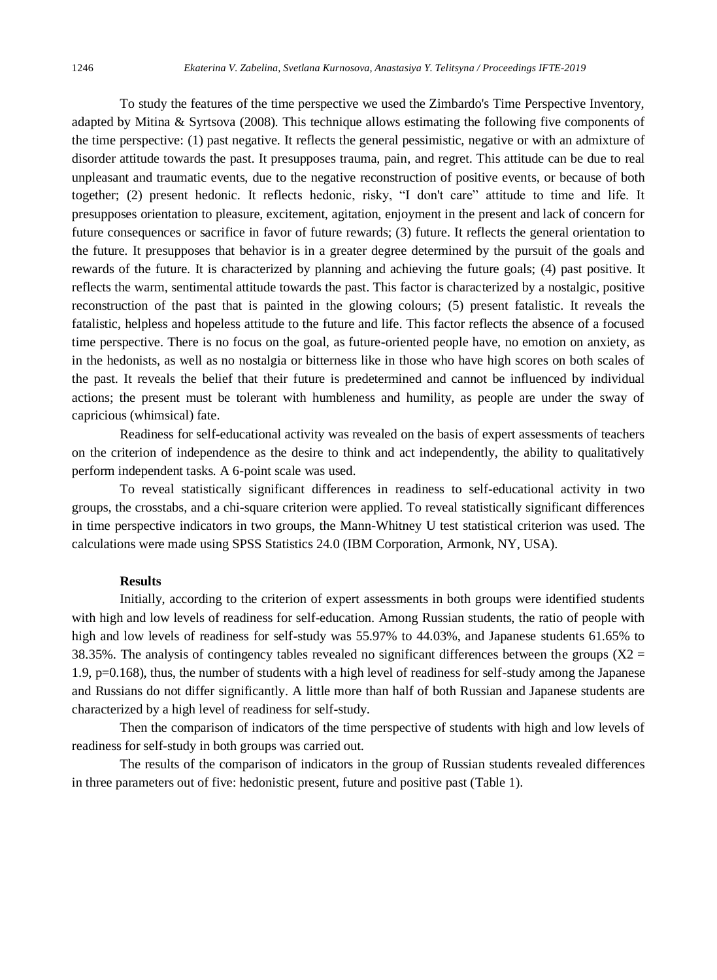To study the features of the time perspective we used the Zimbardo's Time Perspective Inventory, adapted by Mitina & Syrtsova (2008). This technique allows estimating the following five components of the time perspective: (1) past negative. It reflects the general pessimistic, negative or with an admixture of disorder attitude towards the past. It presupposes trauma, pain, and regret. This attitude can be due to real unpleasant and traumatic events, due to the negative reconstruction of positive events, or because of both together; (2) present hedonic. It reflects hedonic, risky, "I don't care" attitude to time and life. It presupposes orientation to pleasure, excitement, agitation, enjoyment in the present and lack of concern for future consequences or sacrifice in favor of future rewards; (3) future. It reflects the general orientation to the future. It presupposes that behavior is in a greater degree determined by the pursuit of the goals and rewards of the future. It is characterized by planning and achieving the future goals; (4) past positive. It reflects the warm, sentimental attitude towards the past. This factor is characterized by a nostalgic, positive reconstruction of the past that is painted in the glowing colours; (5) present fatalistic. It reveals the fatalistic, helpless and hopeless attitude to the future and life. This factor reflects the absence of a focused time perspective. There is no focus on the goal, as future-oriented people have, no emotion on anxiety, as in the hedonists, as well as no nostalgia or bitterness like in those who have high scores on both scales of the past. It reveals the belief that their future is predetermined and cannot be influenced by individual actions; the present must be tolerant with humbleness and humility, as people are under the sway of capricious (whimsical) fate.

Readiness for self-educational activity was revealed on the basis of expert assessments of teachers on the criterion of independence as the desire to think and act independently, the ability to qualitatively perform independent tasks. A 6-point scale was used.

To reveal statistically significant differences in readiness to self-educational activity in two groups, the crosstabs, and a chi-square criterion were applied. To reveal statistically significant differences in time perspective indicators in two groups, the Mann-Whitney U test statistical criterion was used. The calculations were made using SPSS Statistics 24.0 (IBM Corporation, Armonk, NY, USA).

#### **Results**

Initially, according to the criterion of expert assessments in both groups were identified students with high and low levels of readiness for self-education. Among Russian students, the ratio of people with high and low levels of readiness for self-study was 55.97% to 44.03%, and Japanese students 61.65% to 38.35%. The analysis of contingency tables revealed no significant differences between the groups  $(X2 =$ 1.9, p=0.168), thus, the number of students with a high level of readiness for self-study among the Japanese and Russians do not differ significantly. A little more than half of both Russian and Japanese students are characterized by a high level of readiness for self-study.

Then the comparison of indicators of the time perspective of students with high and low levels of readiness for self-study in both groups was carried out.

The results of the comparison of indicators in the group of Russian students revealed differences in three parameters out of five: hedonistic present, future and positive past (Table 1).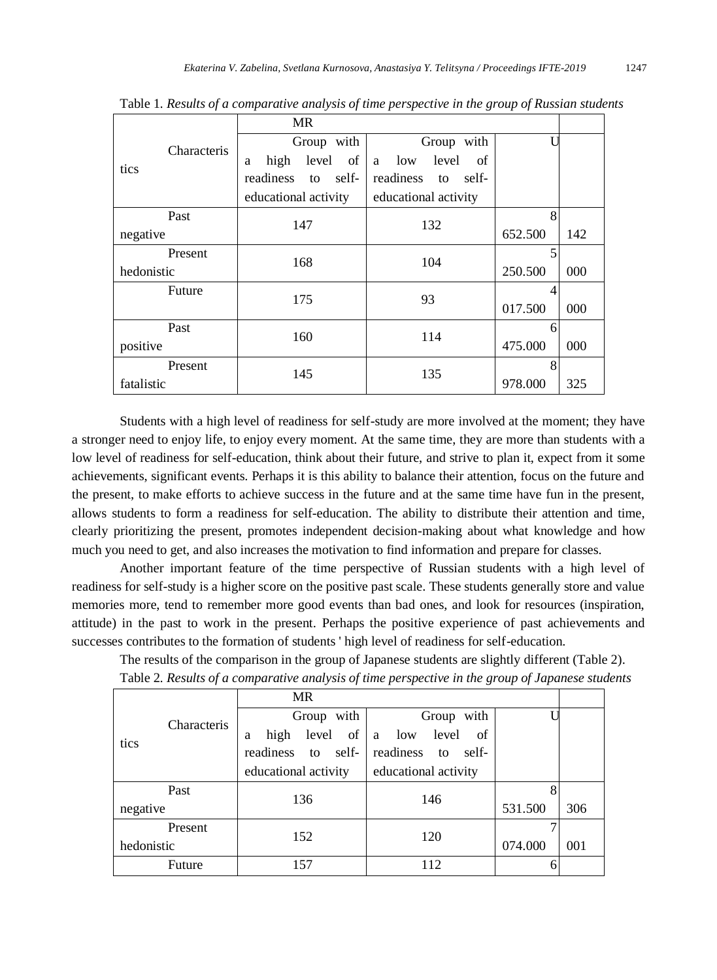| tics             | <b>Characteris</b> | <b>MR</b>                |                          |         |     |
|------------------|--------------------|--------------------------|--------------------------|---------|-----|
|                  |                    | Group with               | Group with               |         |     |
|                  |                    | level<br>high<br>of<br>a | level<br>low<br>-of<br>a |         |     |
|                  |                    | readiness to self-       | readiness to<br>self-    |         |     |
|                  |                    | educational activity     | educational activity     |         |     |
|                  | Past               | 147                      | 132                      | 8       |     |
| negative         |                    |                          |                          | 652.500 | 142 |
|                  | Present            | 168                      | 104                      |         |     |
| hedonistic       |                    |                          |                          | 250.500 | 000 |
|                  | Future             | 175                      | 93                       |         |     |
|                  |                    |                          |                          | 017.500 | 000 |
| Past<br>positive |                    | 160                      | 114                      | 6       |     |
|                  |                    |                          |                          | 475.000 | 000 |
|                  | Present            |                          |                          | 8       |     |
| fatalistic       |                    | 145                      | 135                      | 978.000 | 325 |

Table 1. *Results of a comparative analysis of time perspective in the group of Russian students*

Students with a high level of readiness for self-study are more involved at the moment; they have a stronger need to enjoy life, to enjoy every moment. At the same time, they are more than students with a low level of readiness for self-education, think about their future, and strive to plan it, expect from it some achievements, significant events. Perhaps it is this ability to balance their attention, focus on the future and the present, to make efforts to achieve success in the future and at the same time have fun in the present, allows students to form a readiness for self-education. The ability to distribute their attention and time, clearly prioritizing the present, promotes independent decision-making about what knowledge and how much you need to get, and also increases the motivation to find information and prepare for classes.

Another important feature of the time perspective of Russian students with a high level of readiness for self-study is a higher score on the positive past scale. These students generally store and value memories more, tend to remember more good events than bad ones, and look for resources (inspiration, attitude) in the past to work in the present. Perhaps the positive experience of past achievements and successes contributes to the formation of students ' high level of readiness for self-education.

The results of the comparison in the group of Japanese students are slightly different (Table 2).

|            |             | <b>MR</b>                        |                          |                |
|------------|-------------|----------------------------------|--------------------------|----------------|
| tics       | Characteris | with<br>Group                    | Group with               |                |
|            |             | $level$ of $ a$ low<br>high<br>a | level<br>of              |                |
|            |             | readiness<br>self-<br>to         | readiness<br>self-<br>to |                |
|            |             | educational activity             | educational activity     |                |
|            | Past        |                                  |                          |                |
| negative   |             | 136                              | 146                      | 531.500<br>306 |
|            | Present     |                                  |                          |                |
| hedonistic |             | 152                              | 120                      | 074.000<br>001 |
|            | Future      | 157                              | 112                      | h              |

Table 2. *Results of a comparative analysis of time perspective in the group of Japanese students*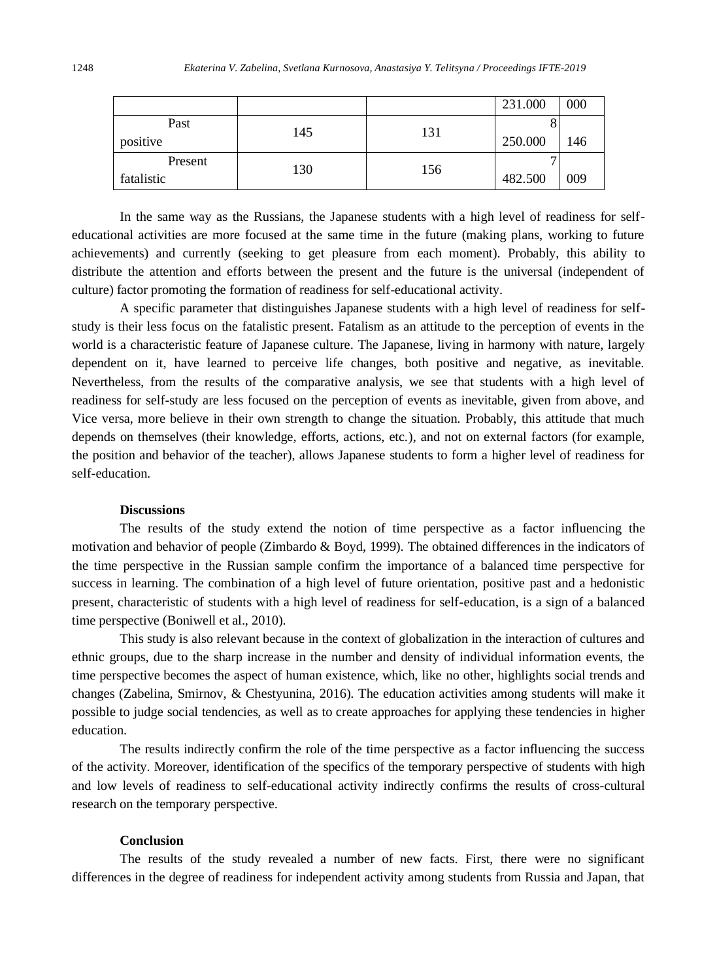|            |     |     | 231.000 | 000 |
|------------|-----|-----|---------|-----|
| Past       | 145 | 131 |         |     |
| positive   |     |     | 250.000 | 146 |
| Present    | 130 | 156 |         |     |
| fatalistic |     |     | 482.500 | 009 |

In the same way as the Russians, the Japanese students with a high level of readiness for selfeducational activities are more focused at the same time in the future (making plans, working to future achievements) and currently (seeking to get pleasure from each moment). Probably, this ability to distribute the attention and efforts between the present and the future is the universal (independent of culture) factor promoting the formation of readiness for self-educational activity.

A specific parameter that distinguishes Japanese students with a high level of readiness for selfstudy is their less focus on the fatalistic present. Fatalism as an attitude to the perception of events in the world is a characteristic feature of Japanese culture. The Japanese, living in harmony with nature, largely dependent on it, have learned to perceive life changes, both positive and negative, as inevitable. Nevertheless, from the results of the comparative analysis, we see that students with a high level of readiness for self-study are less focused on the perception of events as inevitable, given from above, and Vice versa, more believe in their own strength to change the situation. Probably, this attitude that much depends on themselves (their knowledge, efforts, actions, etc.), and not on external factors (for example, the position and behavior of the teacher), allows Japanese students to form a higher level of readiness for self-education.

#### **Discussions**

The results of the study extend the notion of time perspective as a factor influencing the motivation and behavior of people (Zimbardo & Boyd, 1999). The obtained differences in the indicators of the time perspective in the Russian sample confirm the importance of a balanced time perspective for success in learning. The combination of a high level of future orientation, positive past and a hedonistic present, characteristic of students with a high level of readiness for self-education, is a sign of a balanced time perspective (Boniwell et al., 2010).

This study is also relevant because in the context of globalization in the interaction of cultures and ethnic groups, due to the sharp increase in the number and density of individual information events, the time perspective becomes the aspect of human existence, which, like no other, highlights social trends and changes (Zabelina, Smirnov, & Chestyunina, 2016). The education activities among students will make it possible to judge social tendencies, as well as to create approaches for applying these tendencies in higher education.

The results indirectly confirm the role of the time perspective as a factor influencing the success of the activity. Moreover, identification of the specifics of the temporary perspective of students with high and low levels of readiness to self-educational activity indirectly confirms the results of cross-cultural research on the temporary perspective.

## **Conclusion**

The results of the study revealed a number of new facts. First, there were no significant differences in the degree of readiness for independent activity among students from Russia and Japan, that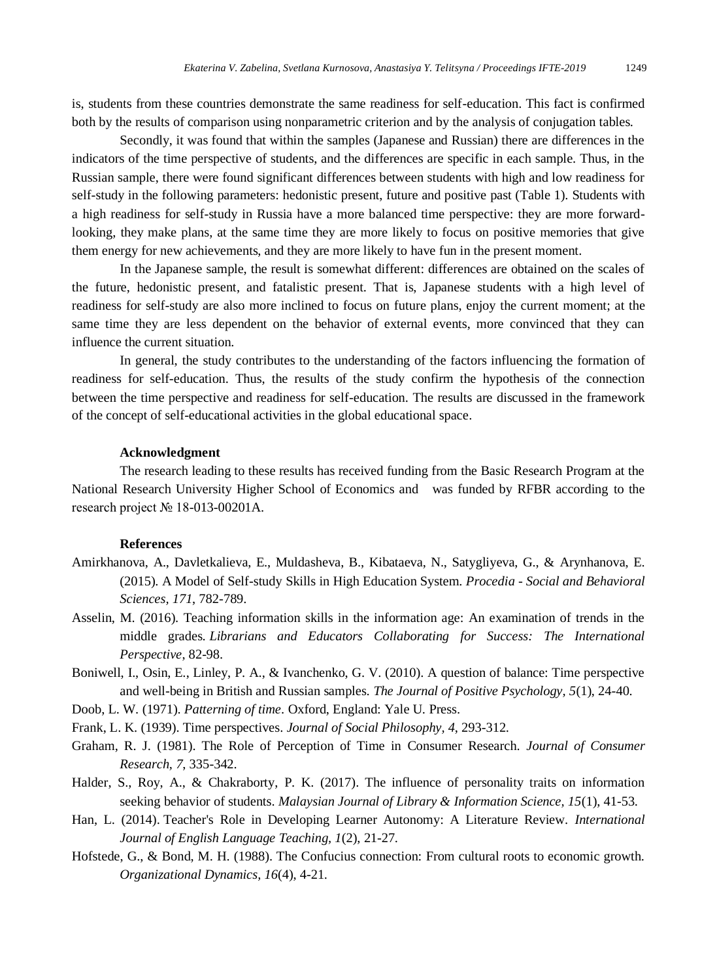is, students from these countries demonstrate the same readiness for self-education. This fact is confirmed both by the results of comparison using nonparametric criterion and by the analysis of conjugation tables.

Secondly, it was found that within the samples (Japanese and Russian) there are differences in the indicators of the time perspective of students, and the differences are specific in each sample. Thus, in the Russian sample, there were found significant differences between students with high and low readiness for self-study in the following parameters: hedonistic present, future and positive past (Table 1). Students with a high readiness for self-study in Russia have a more balanced time perspective: they are more forwardlooking, they make plans, at the same time they are more likely to focus on positive memories that give them energy for new achievements, and they are more likely to have fun in the present moment.

In the Japanese sample, the result is somewhat different: differences are obtained on the scales of the future, hedonistic present, and fatalistic present. That is, Japanese students with a high level of readiness for self-study are also more inclined to focus on future plans, enjoy the current moment; at the same time they are less dependent on the behavior of external events, more convinced that they can influence the current situation.

In general, the study contributes to the understanding of the factors influencing the formation of readiness for self-education. Thus, the results of the study confirm the hypothesis of the connection between the time perspective and readiness for self-education. The results are discussed in the framework of the concept of self-educational activities in the global educational space.

#### **Acknowledgment**

The research leading to these results has received funding from the Basic Research Program at the National Research University Higher School of Economics and was funded by RFBR according to the research project № 18-013-00201A.

### **References**

- Amirkhanova, A., Davletkalieva, E., Muldasheva, B., Kibataeva, N., Satygliyeva, G., & Arynhanova, E. (2015). A Model of Self-study Skills in High Education System. *Procedia - Social and Behavioral Sciences, 171*, 782-789.
- Asselin, M. (2016). Teaching information skills in the information age: An examination of trends in the middle grades. *Librarians and Educators Collaborating for Success: The International Perspective*, 82-98.
- Boniwell, I., Osin, E., Linley, P. A., & Ivanchenko, G. V. (2010). A question of balance: Time perspective and well-being in British and Russian samples. *The Journal of Positive Psychology, 5*(1), 24-40.
- Doob, L. W. (1971). *Patterning of time*. Oxford, England: Yale U. Press.
- Frank, L. K. (1939). Time perspectives. *Journal of Social Philosophy, 4*, 293-312.
- Graham, R. J. (1981). The Role of Perception of Time in Consumer Research. *Journal of Consumer Research, 7*, 335-342.
- Halder, S., Roy, A., & Chakraborty, P. K. (2017). The influence of personality traits on information seeking behavior of students. *Malaysian Journal of Library & Information Science, 15*(1), 41-53.
- Han, L. (2014). Teacher's Role in Developing Learner Autonomy: A Literature Review. *International Journal of English Language Teaching, 1*(2), 21-27.
- Hofstede, G., & Bond, M. H. (1988). The Confucius connection: From cultural roots to economic growth. *Organizational Dynamics, 16*(4), 4-21.